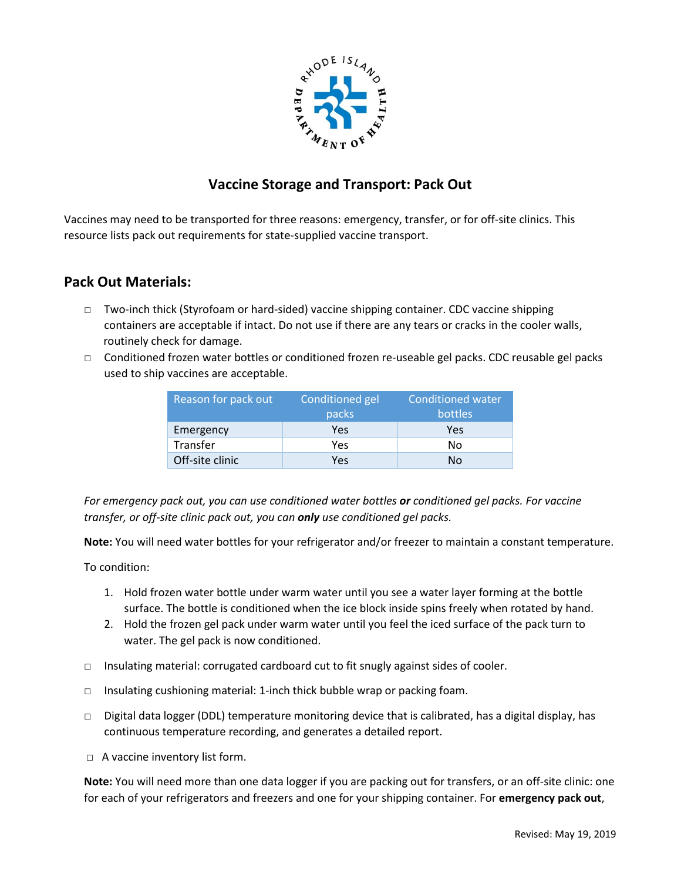

# **Vaccine Storage and Transport: Pack Out**

Vaccines may need to be transported for three reasons: emergency, transfer, or for off-site clinics. This resource lists pack out requirements for state-supplied vaccine transport.

## **Pack Out Materials:**

- □ Two-inch thick (Styrofoam or hard-sided) vaccine shipping container. CDC vaccine shipping containers are acceptable if intact. Do not use if there are any tears or cracks in the cooler walls, routinely check for damage.
- □ Conditioned frozen water bottles or conditioned frozen re-useable gel packs. CDC reusable gel packs used to ship vaccines are acceptable.

| Reason for pack out | Conditioned gel<br>packs | <b>Conditioned water</b><br><b>bottles</b> |
|---------------------|--------------------------|--------------------------------------------|
| Emergency           | Yes                      | Yes                                        |
| Transfer            | Yes                      | N٥                                         |
| Off-site clinic     | Yes                      | Nο                                         |

*For emergency pack out, you can use conditioned water bottles or conditioned gel packs. For vaccine transfer, or off-site clinic pack out, you can only use conditioned gel packs.*

**Note:** You will need water bottles for your refrigerator and/or freezer to maintain a constant temperature.

To condition:

- 1. Hold frozen water bottle under warm water until you see a water layer forming at the bottle surface. The bottle is conditioned when the ice block inside spins freely when rotated by hand.
- 2. Hold the frozen gel pack under warm water until you feel the iced surface of the pack turn to water. The gel pack is now conditioned.
- □ Insulating material: corrugated cardboard cut to fit snugly against sides of cooler.
- □ Insulating cushioning material: 1-inch thick bubble wrap or packing foam.
- □ Digital data logger (DDL) temperature monitoring device that is calibrated, has a digital display, has continuous temperature recording, and generates a detailed report.
- □ A vaccine inventory list form.

**Note:** You will need more than one data logger if you are packing out for transfers, or an off-site clinic: one for each of your refrigerators and freezers and one for your shipping container. For **emergency pack out**,